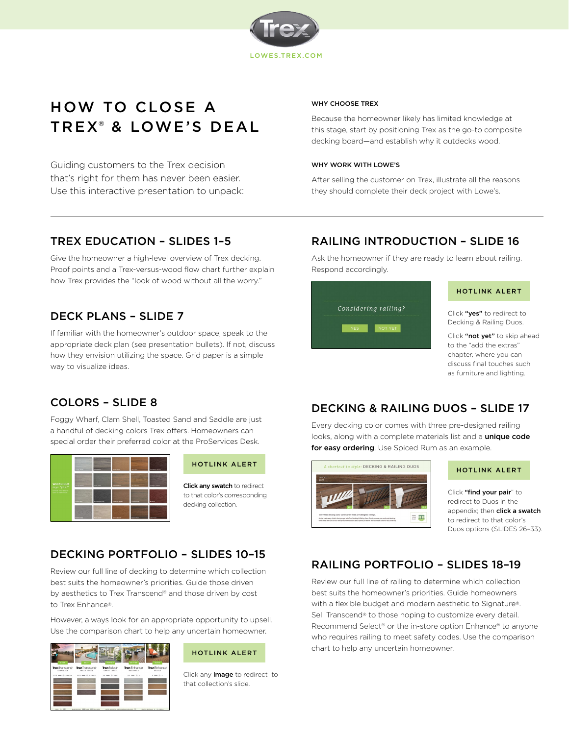

# HOW TO CLOSE A TREX® & LOWE'S DEAL

Guiding customers to the Trex decision that's right for them has never been easier. Use this interactive presentation to unpack:

#### WHY CHOOSE TREX

Because the homeowner likely has limited knowledge at this stage, start by positioning Trex as the go-to composite decking board—and establish why it outdecks wood.

#### WHY WORK WITH LOWE'S

After selling the customer on Trex, illustrate all the reasons they should complete their deck project with Lowe's.

### TREX EDUCATION – SLIDES 1–5

Give the homeowner a high-level overview of Trex decking. Proof points and a Trex-versus-wood flow chart further explain how Trex provides the "look of wood without all the worry."

# DECK PLANS – SLIDE 7

If familiar with the homeowner's outdoor space, speak to the appropriate deck plan (see presentation bullets). If not, discuss how they envision utilizing the space. Grid paper is a simple way to visualize ideas.

# RAILING INTRODUCTION – SLIDE 16

Ask the homeowner if they are ready to learn about railing. Respond accordingly.



#### HOTLINK ALERT

Click "yes" to redirect to Decking & Railing Duos.

Click "not yet" to skip ahead to the "add the extras" chapter, where you can discuss final touches such as furniture and lighting.

### COLORS – SLIDE 8

Foggy Wharf, Clam Shell, Toasted Sand and Saddle are just a handful of decking colors Trex offers. Homeowners can special order their preferred color at the ProServices Desk.



### HOTLINK ALERT

Click any swatch to redirect to that color's corresponding decking collection.

## DECKING PORTFOLIO – SLIDES 10–15

Review our full line of decking to determine which collection best suits the homeowner's priorities. Guide those driven by aesthetics to Trex Transcend® and those driven by cost to Trex Enhance®.

However, always look for an appropriate opportunity to upsell. Use the comparison chart to help any uncertain homeowner.



#### HOTLINK ALERT

Click any *image* to redirect to that collection's slide.

### DECKING & RAILING DUOS – SLIDE 17

Every decking color comes with three pre-designed railing looks, along with a complete materials list and a unique code for easy ordering. Use Spiced Rum as an example.



### HOTLINK ALERT

Click "find your pair" to redirect to Duos in the appendix; then **click a swatch** to redirect to that color's Duos options (SLIDES 26–33).

## RAILING PORTFOLIO – SLIDES 18–19

Review our full line of railing to determine which collection best suits the homeowner's priorities. Guide homeowners with a flexible budget and modern aesthetic to Signature®. Sell Transcend® to those hoping to customize every detail. Recommend Select® or the in-store option Enhance® to anyone who requires railing to meet safety codes. Use the comparison chart to help any uncertain homeowner.